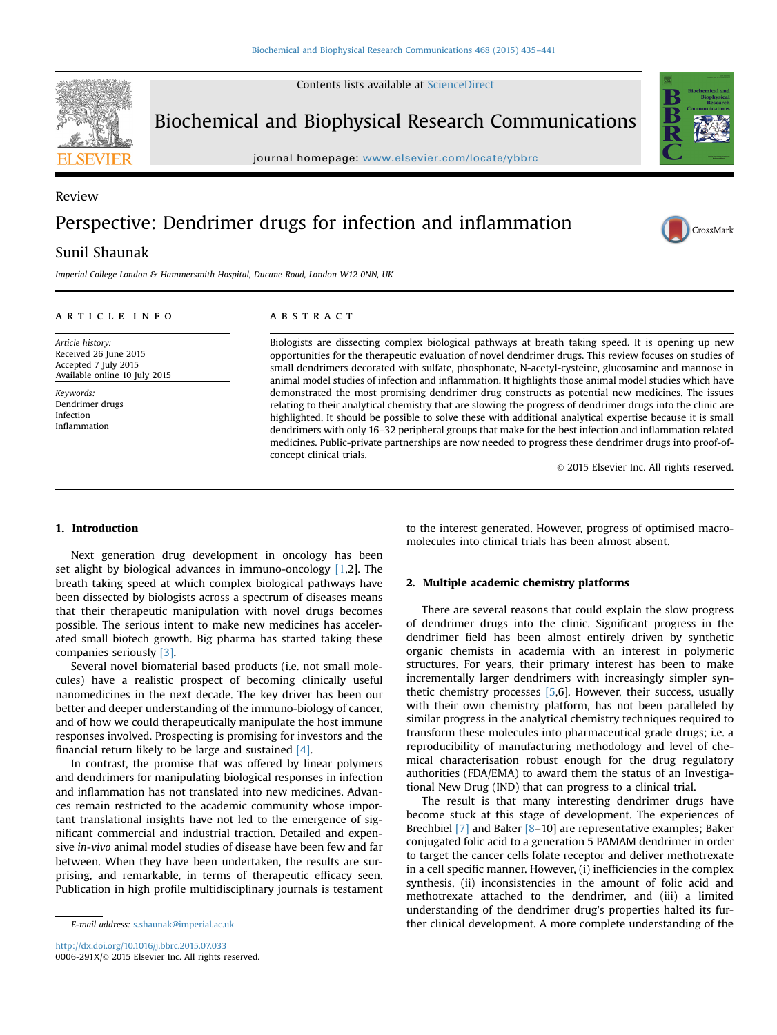Contents lists available at [ScienceDirect](www.sciencedirect.com/science/journal/0006291X)

Biochemical and Biophysical Research Communications

journal homepage: <www.elsevier.com/locate/ybbrc>

# Perspective: Dendrimer drugs for infection and inflammation

# Sunil Shaunak

Imperial College London & Hammersmith Hospital, Ducane Road, London W12 0NN, UK

# article info

Article history: Received 26 June 2015 Accepted 7 July 2015 Available online 10 July 2015

Keywords: Dendrimer drugs Infection Inflammation

# **ABSTRACT**

Biologists are dissecting complex biological pathways at breath taking speed. It is opening up new opportunities for the therapeutic evaluation of novel dendrimer drugs. This review focuses on studies of small dendrimers decorated with sulfate, phosphonate, N-acetyl-cysteine, glucosamine and mannose in animal model studies of infection and inflammation. It highlights those animal model studies which have demonstrated the most promising dendrimer drug constructs as potential new medicines. The issues relating to their analytical chemistry that are slowing the progress of dendrimer drugs into the clinic are highlighted. It should be possible to solve these with additional analytical expertise because it is small dendrimers with only 16–32 peripheral groups that make for the best infection and inflammation related medicines. Public-private partnerships are now needed to progress these dendrimer drugs into proof-ofconcept clinical trials.

 $©$  2015 Elsevier Inc. All rights reserved.

# 1. Introduction

Next generation drug development in oncology has been set alight by biological advances in immuno-oncology [\[1,](#page-4-0)2]. The breath taking speed at which complex biological pathways have been dissected by biologists across a spectrum of diseases means that their therapeutic manipulation with novel drugs becomes possible. The serious intent to make new medicines has accelerated small biotech growth. Big pharma has started taking these companies seriously [\[3\]](#page-5-0).

Several novel biomaterial based products (i.e. not small molecules) have a realistic prospect of becoming clinically useful nanomedicines in the next decade. The key driver has been our better and deeper understanding of the immuno-biology of cancer, and of how we could therapeutically manipulate the host immune responses involved. Prospecting is promising for investors and the financial return likely to be large and sustained [\[4\].](#page-5-0)

In contrast, the promise that was offered by linear polymers and dendrimers for manipulating biological responses in infection and inflammation has not translated into new medicines. Advances remain restricted to the academic community whose important translational insights have not led to the emergence of significant commercial and industrial traction. Detailed and expensive in-vivo animal model studies of disease have been few and far between. When they have been undertaken, the results are surprising, and remarkable, in terms of therapeutic efficacy seen. Publication in high profile multidisciplinary journals is testament

<http://dx.doi.org/10.1016/j.bbrc.2015.07.033> 0006-291X/@ 2015 Elsevier Inc. All rights reserved. to the interest generated. However, progress of optimised macromolecules into clinical trials has been almost absent.

# 2. Multiple academic chemistry platforms

There are several reasons that could explain the slow progress of dendrimer drugs into the clinic. Significant progress in the dendrimer field has been almost entirely driven by synthetic organic chemists in academia with an interest in polymeric structures. For years, their primary interest has been to make incrementally larger dendrimers with increasingly simpler synthetic chemistry processes [\[5,](#page-5-0)6]. However, their success, usually with their own chemistry platform, has not been paralleled by similar progress in the analytical chemistry techniques required to transform these molecules into pharmaceutical grade drugs; i.e. a reproducibility of manufacturing methodology and level of chemical characterisation robust enough for the drug regulatory authorities (FDA/EMA) to award them the status of an Investigational New Drug (IND) that can progress to a clinical trial.

The result is that many interesting dendrimer drugs have become stuck at this stage of development. The experiences of Brechbiel [\[7\]](#page-5-0) and Baker [\[8](#page-5-0)–10] are representative examples; Baker conjugated folic acid to a generation 5 PAMAM dendrimer in order to target the cancer cells folate receptor and deliver methotrexate in a cell specific manner. However, (i) inefficiencies in the complex synthesis, (ii) inconsistencies in the amount of folic acid and methotrexate attached to the dendrimer, and (iii) a limited understanding of the dendrimer drug's properties halted its further clinical development. A more complete understanding of the



Review





E-mail address: [s.shaunak@imperial.ac.uk](mailto:s.shaunak@imperial.ac.uk)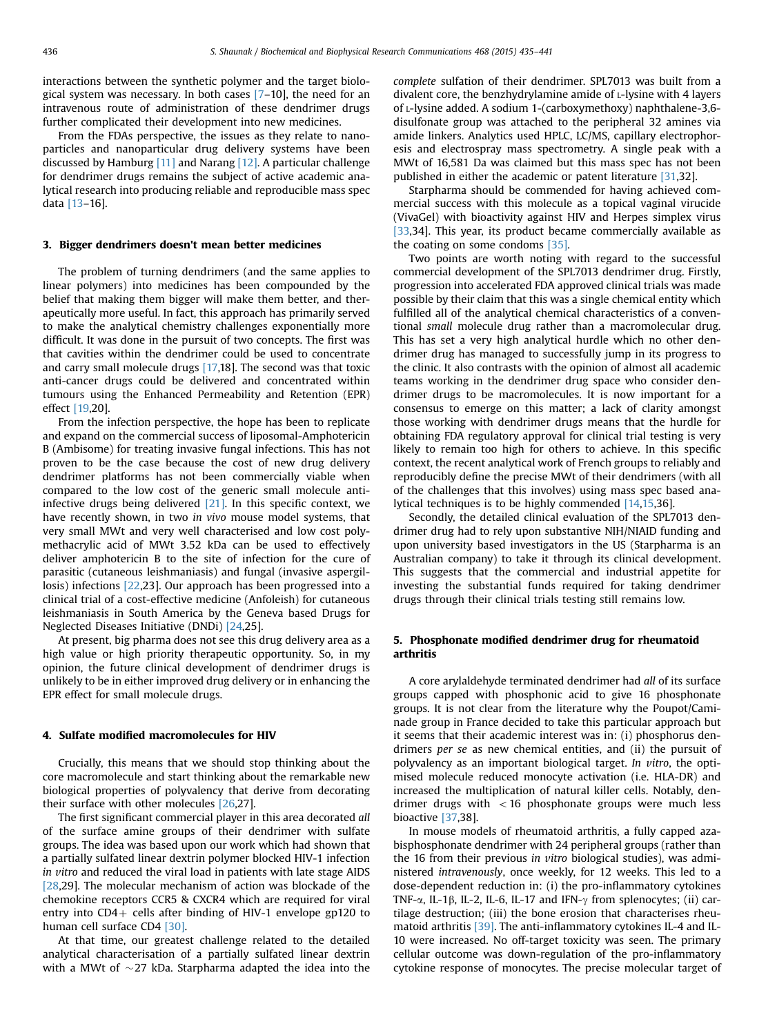interactions between the synthetic polymer and the target biological system was necessary. In both cases [\[7](#page-5-0)–10], the need for an intravenous route of administration of these dendrimer drugs further complicated their development into new medicines.

From the FDAs perspective, the issues as they relate to nanoparticles and nanoparticular drug delivery systems have been discussed by Hamburg [\[11\]](#page-5-0) and Narang [\[12\]](#page-5-0). A particular challenge for dendrimer drugs remains the subject of active academic analytical research into producing reliable and reproducible mass spec data [\[13](#page-5-0)–16].

#### 3. Bigger dendrimers doesn't mean better medicines

The problem of turning dendrimers (and the same applies to linear polymers) into medicines has been compounded by the belief that making them bigger will make them better, and therapeutically more useful. In fact, this approach has primarily served to make the analytical chemistry challenges exponentially more difficult. It was done in the pursuit of two concepts. The first was that cavities within the dendrimer could be used to concentrate and carry small molecule drugs [\[17](#page-5-0),18]. The second was that toxic anti-cancer drugs could be delivered and concentrated within tumours using the Enhanced Permeability and Retention (EPR) effect [\[19](#page-5-0),20].

From the infection perspective, the hope has been to replicate and expand on the commercial success of liposomal-Amphotericin B (Ambisome) for treating invasive fungal infections. This has not proven to be the case because the cost of new drug delivery dendrimer platforms has not been commercially viable when compared to the low cost of the generic small molecule antiinfective drugs being delivered [\[21\]](#page-5-0). In this specific context, we have recently shown, in two in vivo mouse model systems, that very small MWt and very well characterised and low cost polymethacrylic acid of MWt 3.52 kDa can be used to effectively deliver amphotericin B to the site of infection for the cure of parasitic (cutaneous leishmaniasis) and fungal (invasive aspergillosis) infections [\[22](#page-5-0),23]. Our approach has been progressed into a clinical trial of a cost-effective medicine (Anfoleish) for cutaneous leishmaniasis in South America by the Geneva based Drugs for Neglected Diseases Initiative (DNDi) [\[24,](#page-5-0)25].

At present, big pharma does not see this drug delivery area as a high value or high priority therapeutic opportunity. So, in my opinion, the future clinical development of dendrimer drugs is unlikely to be in either improved drug delivery or in enhancing the EPR effect for small molecule drugs.

# 4. Sulfate modified macromolecules for HIV

Crucially, this means that we should stop thinking about the core macromolecule and start thinking about the remarkable new biological properties of polyvalency that derive from decorating their surface with other molecules [\[26](#page-5-0),27].

The first significant commercial player in this area decorated all of the surface amine groups of their dendrimer with sulfate groups. The idea was based upon our work which had shown that a partially sulfated linear dextrin polymer blocked HIV-1 infection in vitro and reduced the viral load in patients with late stage AIDS [\[28](#page-5-0),29]. The molecular mechanism of action was blockade of the chemokine receptors CCR5 & CXCR4 which are required for viral entry into  $CD4$  cells after binding of HIV-1 envelope gp120 to human cell surface CD4 [\[30\].](#page-5-0)

At that time, our greatest challenge related to the detailed analytical characterisation of a partially sulfated linear dextrin with a MWt of  $\sim$ 27 kDa. Starpharma adapted the idea into the

complete sulfation of their dendrimer. SPL7013 was built from a divalent core, the benzhydrylamine amide of L-lysine with 4 layers of L-lysine added. A sodium 1-(carboxymethoxy) naphthalene-3,6 disulfonate group was attached to the peripheral 32 amines via amide linkers. Analytics used HPLC, LC/MS, capillary electrophoresis and electrospray mass spectrometry. A single peak with a MWt of 16,581 Da was claimed but this mass spec has not been published in either the academic or patent literature [\[31,](#page-5-0)32].

Starpharma should be commended for having achieved commercial success with this molecule as a topical vaginal virucide (VivaGel) with bioactivity against HIV and Herpes simplex virus [\[33](#page-5-0),34]. This year, its product became commercially available as the coating on some condoms [\[35\]](#page-5-0).

Two points are worth noting with regard to the successful commercial development of the SPL7013 dendrimer drug. Firstly, progression into accelerated FDA approved clinical trials was made possible by their claim that this was a single chemical entity which fulfilled all of the analytical chemical characteristics of a conventional small molecule drug rather than a macromolecular drug. This has set a very high analytical hurdle which no other dendrimer drug has managed to successfully jump in its progress to the clinic. It also contrasts with the opinion of almost all academic teams working in the dendrimer drug space who consider dendrimer drugs to be macromolecules. It is now important for a consensus to emerge on this matter; a lack of clarity amongst those working with dendrimer drugs means that the hurdle for obtaining FDA regulatory approval for clinical trial testing is very likely to remain too high for others to achieve. In this specific context, the recent analytical work of French groups to reliably and reproducibly define the precise MWt of their dendrimers (with all of the challenges that this involves) using mass spec based analytical techniques is to be highly commended [\[14,15](#page-5-0),36].

Secondly, the detailed clinical evaluation of the SPL7013 dendrimer drug had to rely upon substantive NIH/NIAID funding and upon university based investigators in the US (Starpharma is an Australian company) to take it through its clinical development. This suggests that the commercial and industrial appetite for investing the substantial funds required for taking dendrimer drugs through their clinical trials testing still remains low.

# 5. Phosphonate modified dendrimer drug for rheumatoid arthritis

A core arylaldehyde terminated dendrimer had all of its surface groups capped with phosphonic acid to give 16 phosphonate groups. It is not clear from the literature why the Poupot/Caminade group in France decided to take this particular approach but it seems that their academic interest was in: (i) phosphorus dendrimers per se as new chemical entities, and (ii) the pursuit of polyvalency as an important biological target. In vitro, the optimised molecule reduced monocyte activation (i.e. HLA-DR) and increased the multiplication of natural killer cells. Notably, dendrimer drugs with  $<$  16 phosphonate groups were much less bioactive [\[37,](#page-5-0)38].

In mouse models of rheumatoid arthritis, a fully capped azabisphosphonate dendrimer with 24 peripheral groups (rather than the 16 from their previous in vitro biological studies), was administered intravenously, once weekly, for 12 weeks. This led to a dose-dependent reduction in: (i) the pro-inflammatory cytokines TNF- $\alpha$ , IL-1 $\beta$ , IL-2, IL-6, IL-17 and IFN- $\gamma$  from splenocytes; (ii) cartilage destruction; (iii) the bone erosion that characterises rheumatoid arthritis [\[39\].](#page-5-0) The anti-inflammatory cytokines IL-4 and IL-10 were increased. No off-target toxicity was seen. The primary cellular outcome was down-regulation of the pro-inflammatory cytokine response of monocytes. The precise molecular target of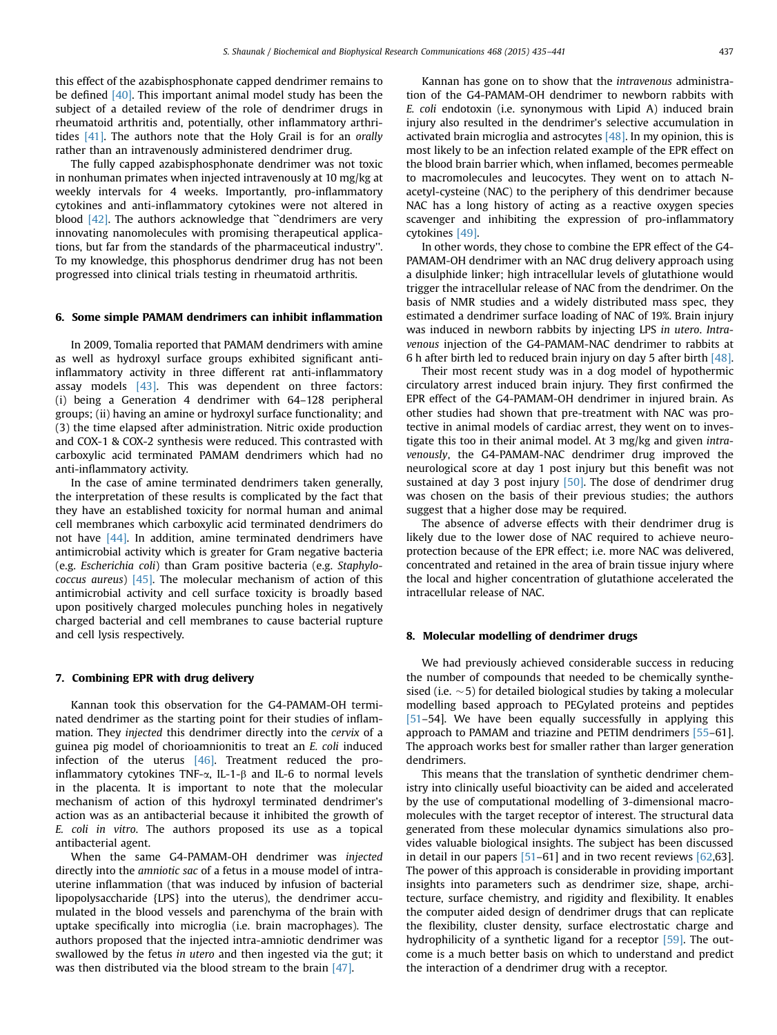this effect of the azabisphosphonate capped dendrimer remains to be defined [\[40\]](#page-5-0). This important animal model study has been the subject of a detailed review of the role of dendrimer drugs in rheumatoid arthritis and, potentially, other inflammatory arthritides [\[41\].](#page-5-0) The authors note that the Holy Grail is for an orally rather than an intravenously administered dendrimer drug.

The fully capped azabisphosphonate dendrimer was not toxic in nonhuman primates when injected intravenously at 10 mg/kg at weekly intervals for 4 weeks. Importantly, pro-inflammatory cytokines and anti-inflammatory cytokines were not altered in blood  $[42]$ . The authors acknowledge that "dendrimers are very innovating nanomolecules with promising therapeutical applications, but far from the standards of the pharmaceutical industry''. To my knowledge, this phosphorus dendrimer drug has not been progressed into clinical trials testing in rheumatoid arthritis.

# 6. Some simple PAMAM dendrimers can inhibit inflammation

In 2009, Tomalia reported that PAMAM dendrimers with amine as well as hydroxyl surface groups exhibited significant antiinflammatory activity in three different rat anti-inflammatory assay models [\[43\].](#page-5-0) This was dependent on three factors: (i) being a Generation 4 dendrimer with 64–128 peripheral groups; (ii) having an amine or hydroxyl surface functionality; and (3) the time elapsed after administration. Nitric oxide production and COX-1 & COX-2 synthesis were reduced. This contrasted with carboxylic acid terminated PAMAM dendrimers which had no anti-inflammatory activity.

In the case of amine terminated dendrimers taken generally, the interpretation of these results is complicated by the fact that they have an established toxicity for normal human and animal cell membranes which carboxylic acid terminated dendrimers do not have [\[44\]](#page-5-0). In addition, amine terminated dendrimers have antimicrobial activity which is greater for Gram negative bacteria (e.g. Escherichia coli) than Gram positive bacteria (e.g. Staphylococcus aureus) [\[45\].](#page-5-0) The molecular mechanism of action of this antimicrobial activity and cell surface toxicity is broadly based upon positively charged molecules punching holes in negatively charged bacterial and cell membranes to cause bacterial rupture and cell lysis respectively.

# 7. Combining EPR with drug delivery

Kannan took this observation for the G4-PAMAM-OH terminated dendrimer as the starting point for their studies of inflammation. They injected this dendrimer directly into the cervix of a guinea pig model of chorioamnionitis to treat an E. coli induced infection of the uterus [\[46\]](#page-5-0). Treatment reduced the proinflammatory cytokines TNF- $\alpha$ , IL-1- $\beta$  and IL-6 to normal levels in the placenta. It is important to note that the molecular mechanism of action of this hydroxyl terminated dendrimer's action was as an antibacterial because it inhibited the growth of E. coli in vitro. The authors proposed its use as a topical antibacterial agent.

When the same G4-PAMAM-OH dendrimer was injected directly into the amniotic sac of a fetus in a mouse model of intrauterine inflammation (that was induced by infusion of bacterial lipopolysaccharide {LPS} into the uterus), the dendrimer accumulated in the blood vessels and parenchyma of the brain with uptake specifically into microglia (i.e. brain macrophages). The authors proposed that the injected intra-amniotic dendrimer was swallowed by the fetus in utero and then ingested via the gut; it was then distributed via the blood stream to the brain [\[47\].](#page-5-0)

Kannan has gone on to show that the intravenous administration of the G4-PAMAM-OH dendrimer to newborn rabbits with E. coli endotoxin (i.e. synonymous with Lipid A) induced brain injury also resulted in the dendrimer's selective accumulation in activated brain microglia and astrocytes  $[48]$ . In my opinion, this is most likely to be an infection related example of the EPR effect on the blood brain barrier which, when inflamed, becomes permeable to macromolecules and leucocytes. They went on to attach Nacetyl-cysteine (NAC) to the periphery of this dendrimer because NAC has a long history of acting as a reactive oxygen species scavenger and inhibiting the expression of pro-inflammatory cytokines [\[49\].](#page-5-0)

In other words, they chose to combine the EPR effect of the G4- PAMAM-OH dendrimer with an NAC drug delivery approach using a disulphide linker; high intracellular levels of glutathione would trigger the intracellular release of NAC from the dendrimer. On the basis of NMR studies and a widely distributed mass spec, they estimated a dendrimer surface loading of NAC of 19%. Brain injury was induced in newborn rabbits by injecting LPS in utero. Intravenous injection of the G4-PAMAM-NAC dendrimer to rabbits at 6 h after birth led to reduced brain injury on day 5 after birth  $[48]$ .

Their most recent study was in a dog model of hypothermic circulatory arrest induced brain injury. They first confirmed the EPR effect of the G4-PAMAM-OH dendrimer in injured brain. As other studies had shown that pre-treatment with NAC was protective in animal models of cardiac arrest, they went on to investigate this too in their animal model. At 3 mg/kg and given intravenously, the G4-PAMAM-NAC dendrimer drug improved the neurological score at day 1 post injury but this benefit was not sustained at day 3 post injury  $[50]$ . The dose of dendrimer drug was chosen on the basis of their previous studies; the authors suggest that a higher dose may be required.

The absence of adverse effects with their dendrimer drug is likely due to the lower dose of NAC required to achieve neuroprotection because of the EPR effect; i.e. more NAC was delivered, concentrated and retained in the area of brain tissue injury where the local and higher concentration of glutathione accelerated the intracellular release of NAC.

#### 8. Molecular modelling of dendrimer drugs

We had previously achieved considerable success in reducing the number of compounds that needed to be chemically synthesised (i.e.  $\sim$  5) for detailed biological studies by taking a molecular modelling based approach to PEGylated proteins and peptides [\[51](#page-5-0)–54]. We have been equally successfully in applying this approach to PAMAM and triazine and PETIM dendrimers [\[55](#page-5-0)–61]. The approach works best for smaller rather than larger generation dendrimers.

This means that the translation of synthetic dendrimer chemistry into clinically useful bioactivity can be aided and accelerated by the use of computational modelling of 3-dimensional macromolecules with the target receptor of interest. The structural data generated from these molecular dynamics simulations also provides valuable biological insights. The subject has been discussed in detail in our papers  $[51-61]$  $[51-61]$  and in two recent reviews  $[62,63]$  $[62,63]$ . The power of this approach is considerable in providing important insights into parameters such as dendrimer size, shape, architecture, surface chemistry, and rigidity and flexibility. It enables the computer aided design of dendrimer drugs that can replicate the flexibility, cluster density, surface electrostatic charge and hydrophilicity of a synthetic ligand for a receptor [\[59\].](#page-5-0) The outcome is a much better basis on which to understand and predict the interaction of a dendrimer drug with a receptor.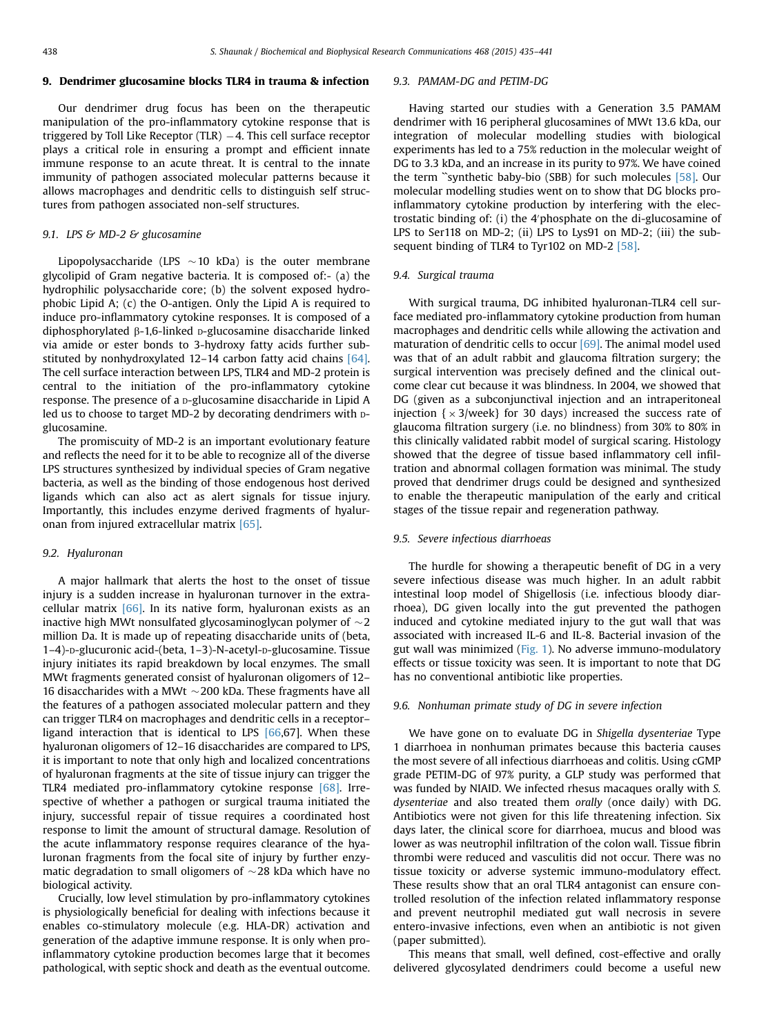#### 9. Dendrimer glucosamine blocks TLR4 in trauma & infection

Our dendrimer drug focus has been on the therapeutic manipulation of the pro-inflammatory cytokine response that is triggered by Toll Like Receptor (TLR)  $-4$ . This cell surface receptor plays a critical role in ensuring a prompt and efficient innate immune response to an acute threat. It is central to the innate immunity of pathogen associated molecular patterns because it allows macrophages and dendritic cells to distinguish self structures from pathogen associated non-self structures.

#### 9.1. LPS & MD-2 & glucosamine

Lipopolysaccharide (LPS  $\sim$  10 kDa) is the outer membrane glycolipid of Gram negative bacteria. It is composed of:- (a) the hydrophilic polysaccharide core; (b) the solvent exposed hydrophobic Lipid A; (c) the O-antigen. Only the Lipid A is required to induce pro-inflammatory cytokine responses. It is composed of a diphosphorylated  $\beta$ -1,6-linked D-glucosamine disaccharide linked via amide or ester bonds to 3-hydroxy fatty acids further substituted by nonhydroxylated 12–14 carbon fatty acid chains [\[64\].](#page-6-0) The cell surface interaction between LPS, TLR4 and MD-2 protein is central to the initiation of the pro-inflammatory cytokine response. The presence of a p-glucosamine disaccharide in Lipid A led us to choose to target MD-2 by decorating dendrimers with  $D$ glucosamine.

The promiscuity of MD-2 is an important evolutionary feature and reflects the need for it to be able to recognize all of the diverse LPS structures synthesized by individual species of Gram negative bacteria, as well as the binding of those endogenous host derived ligands which can also act as alert signals for tissue injury. Importantly, this includes enzyme derived fragments of hyaluronan from injured extracellular matrix [\[65\].](#page-6-0)

#### 9.2. Hyaluronan

A major hallmark that alerts the host to the onset of tissue injury is a sudden increase in hyaluronan turnover in the extracellular matrix [\[66\]](#page-6-0). In its native form, hyaluronan exists as an inactive high MWt nonsulfated glycosaminoglycan polymer of  ${\sim}2$ million Da. It is made up of repeating disaccharide units of (beta, 1–4)-D-glucuronic acid-(beta, 1–3)-N-acetyl-D-glucosamine. Tissue injury initiates its rapid breakdown by local enzymes. The small MWt fragments generated consist of hyaluronan oligomers of 12– 16 disaccharides with a MWt  $\sim$  200 kDa. These fragments have all the features of a pathogen associated molecular pattern and they can trigger TLR4 on macrophages and dendritic cells in a receptor– ligand interaction that is identical to LPS [\[66](#page-6-0),67]. When these hyaluronan oligomers of 12–16 disaccharides are compared to LPS, it is important to note that only high and localized concentrations of hyaluronan fragments at the site of tissue injury can trigger the TLR4 mediated pro-inflammatory cytokine response [\[68\]](#page-6-0). Irrespective of whether a pathogen or surgical trauma initiated the injury, successful repair of tissue requires a coordinated host response to limit the amount of structural damage. Resolution of the acute inflammatory response requires clearance of the hyaluronan fragments from the focal site of injury by further enzymatic degradation to small oligomers of  ${\sim}28$  kDa which have no biological activity.

Crucially, low level stimulation by pro-inflammatory cytokines is physiologically beneficial for dealing with infections because it enables co-stimulatory molecule (e.g. HLA-DR) activation and generation of the adaptive immune response. It is only when proinflammatory cytokine production becomes large that it becomes pathological, with septic shock and death as the eventual outcome.

#### 9.3. PAMAM-DG and PETIM-DG

Having started our studies with a Generation 3.5 PAMAM dendrimer with 16 peripheral glucosamines of MWt 13.6 kDa, our integration of molecular modelling studies with biological experiments has led to a 75% reduction in the molecular weight of DG to 3.3 kDa, and an increase in its purity to 97%. We have coined the term "synthetic baby-bio (SBB) for such molecules [\[58\]](#page-5-0). Our molecular modelling studies went on to show that DG blocks proinflammatory cytokine production by interfering with the electrostatic binding of: (i) the  $4$  phosphate on the di-glucosamine of LPS to Ser118 on MD-2; (ii) LPS to Lys91 on MD-2; (iii) the sub-sequent binding of TLR4 to Tyr102 on MD-2 [\[58\].](#page-5-0)

## 9.4. Surgical trauma

With surgical trauma, DG inhibited hyaluronan-TLR4 cell surface mediated pro-inflammatory cytokine production from human macrophages and dendritic cells while allowing the activation and maturation of dendritic cells to occur [\[69\]](#page-6-0). The animal model used was that of an adult rabbit and glaucoma filtration surgery; the surgical intervention was precisely defined and the clinical outcome clear cut because it was blindness. In 2004, we showed that DG (given as a subconjunctival injection and an intraperitoneal injection  $\{ \times 3$ /week} for 30 days) increased the success rate of glaucoma filtration surgery (i.e. no blindness) from 30% to 80% in this clinically validated rabbit model of surgical scaring. Histology showed that the degree of tissue based inflammatory cell infiltration and abnormal collagen formation was minimal. The study proved that dendrimer drugs could be designed and synthesized to enable the therapeutic manipulation of the early and critical stages of the tissue repair and regeneration pathway.

#### 9.5. Severe infectious diarrhoeas

The hurdle for showing a therapeutic benefit of DG in a very severe infectious disease was much higher. In an adult rabbit intestinal loop model of Shigellosis (i.e. infectious bloody diarrhoea), DG given locally into the gut prevented the pathogen induced and cytokine mediated injury to the gut wall that was associated with increased IL-6 and IL-8. Bacterial invasion of the gut wall was minimized ([Fig. 1](#page-4-0)). No adverse immuno-modulatory effects or tissue toxicity was seen. It is important to note that DG has no conventional antibiotic like properties.

# 9.6. Nonhuman primate study of DG in severe infection

We have gone on to evaluate DG in Shigella dysenteriae Type 1 diarrhoea in nonhuman primates because this bacteria causes the most severe of all infectious diarrhoeas and colitis. Using cGMP grade PETIM-DG of 97% purity, a GLP study was performed that was funded by NIAID. We infected rhesus macaques orally with S. dysenteriae and also treated them orally (once daily) with DG. Antibiotics were not given for this life threatening infection. Six days later, the clinical score for diarrhoea, mucus and blood was lower as was neutrophil infiltration of the colon wall. Tissue fibrin thrombi were reduced and vasculitis did not occur. There was no tissue toxicity or adverse systemic immuno-modulatory effect. These results show that an oral TLR4 antagonist can ensure controlled resolution of the infection related inflammatory response and prevent neutrophil mediated gut wall necrosis in severe entero-invasive infections, even when an antibiotic is not given (paper submitted).

This means that small, well defined, cost-effective and orally delivered glycosylated dendrimers could become a useful new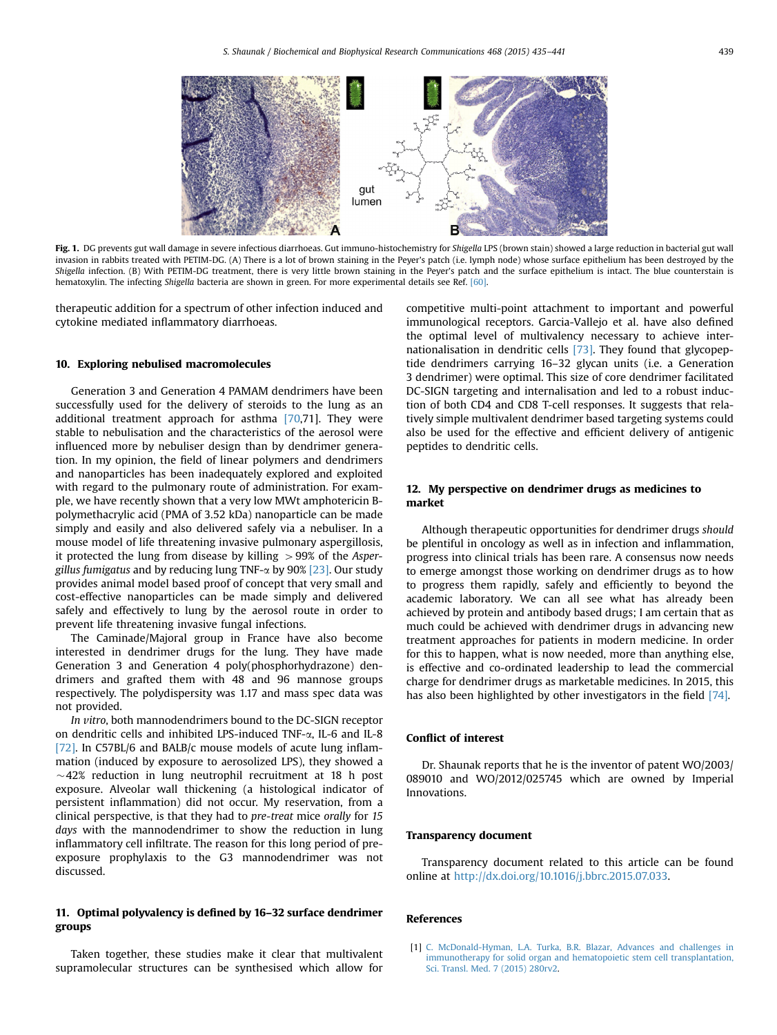<span id="page-4-0"></span>

Fig. 1. DG prevents gut wall damage in severe infectious diarrhoeas. Gut immuno-histochemistry for Shigella LPS (brown stain) showed a large reduction in bacterial gut wall invasion in rabbits treated with PETIM-DG. (A) There is a lot of brown staining in the Peyer's patch (i.e. lymph node) whose surface epithelium has been destroyed by the Shigella infection. (B) With PETIM-DG treatment, there is very little brown staining in the Peyer's patch and the surface epithelium is intact. The blue counterstain is hematoxylin. The infecting Shigella bacteria are shown in green. For more experimental details see Ref. [\[60\].](#page-5-0)

therapeutic addition for a spectrum of other infection induced and cytokine mediated inflammatory diarrhoeas.

## 10. Exploring nebulised macromolecules

Generation 3 and Generation 4 PAMAM dendrimers have been successfully used for the delivery of steroids to the lung as an additional treatment approach for asthma  $[70,71]$  $[70,71]$ . They were stable to nebulisation and the characteristics of the aerosol were influenced more by nebuliser design than by dendrimer generation. In my opinion, the field of linear polymers and dendrimers and nanoparticles has been inadequately explored and exploited with regard to the pulmonary route of administration. For example, we have recently shown that a very low MWt amphotericin Bpolymethacrylic acid (PMA of 3.52 kDa) nanoparticle can be made simply and easily and also delivered safely via a nebuliser. In a mouse model of life threatening invasive pulmonary aspergillosis, it protected the lung from disease by killing  $> 99\%$  of the Aspergillus fumigatus and by reducing lung TNF- $\alpha$  by 90% [\[23\]](#page-5-0). Our study provides animal model based proof of concept that very small and cost-effective nanoparticles can be made simply and delivered safely and effectively to lung by the aerosol route in order to prevent life threatening invasive fungal infections.

The Caminade/Majoral group in France have also become interested in dendrimer drugs for the lung. They have made Generation 3 and Generation 4 poly(phosphorhydrazone) dendrimers and grafted them with 48 and 96 mannose groups respectively. The polydispersity was 1.17 and mass spec data was not provided.

In vitro, both mannodendrimers bound to the DC-SIGN receptor on dendritic cells and inhibited LPS-induced TNF-a, IL-6 and IL-8 [\[72\].](#page-6-0) In C57BL/6 and BALB/c mouse models of acute lung inflammation (induced by exposure to aerosolized LPS), they showed a  $\sim$  42% reduction in lung neutrophil recruitment at 18 h post exposure. Alveolar wall thickening (a histological indicator of persistent inflammation) did not occur. My reservation, from a clinical perspective, is that they had to pre-treat mice orally for 15 days with the mannodendrimer to show the reduction in lung inflammatory cell infiltrate. The reason for this long period of preexposure prophylaxis to the G3 mannodendrimer was not discussed.

# 11. Optimal polyvalency is defined by 16–32 surface dendrimer groups

Taken together, these studies make it clear that multivalent supramolecular structures can be synthesised which allow for competitive multi-point attachment to important and powerful immunological receptors. Garcia-Vallejo et al. have also defined the optimal level of multivalency necessary to achieve internationalisation in dendritic cells [\[73\].](#page-6-0) They found that glycopeptide dendrimers carrying 16–32 glycan units (i.e. a Generation 3 dendrimer) were optimal. This size of core dendrimer facilitated DC-SIGN targeting and internalisation and led to a robust induction of both CD4 and CD8 T-cell responses. It suggests that relatively simple multivalent dendrimer based targeting systems could also be used for the effective and efficient delivery of antigenic peptides to dendritic cells.

# 12. My perspective on dendrimer drugs as medicines to market

Although therapeutic opportunities for dendrimer drugs should be plentiful in oncology as well as in infection and inflammation, progress into clinical trials has been rare. A consensus now needs to emerge amongst those working on dendrimer drugs as to how to progress them rapidly, safely and efficiently to beyond the academic laboratory. We can all see what has already been achieved by protein and antibody based drugs; I am certain that as much could be achieved with dendrimer drugs in advancing new treatment approaches for patients in modern medicine. In order for this to happen, what is now needed, more than anything else, is effective and co-ordinated leadership to lead the commercial charge for dendrimer drugs as marketable medicines. In 2015, this has also been highlighted by other investigators in the field [\[74\]](#page-6-0).

### Conflict of interest

Dr. Shaunak reports that he is the inventor of patent WO/2003/ 089010 and WO/2012/025745 which are owned by Imperial Innovations.

# Transparency document

Transparency document related to this article can be found online at [http://dx.doi.org/10.1016/j.bbrc.2015.07.033](dx.doi.org/10.1016/j.bbrc.2015.07.033).

#### References

[1] [C. McDonald-Hyman, L.A. Turka, B.R. Blazar, Advances and challenges in](http://refhub.elsevier.com/S0006-291X(15)30264-3/sref1) [immunotherapy for solid organ and hematopoietic stem cell transplantation,](http://refhub.elsevier.com/S0006-291X(15)30264-3/sref1) [Sci. Transl. Med. 7 \(2015\) 280rv2.](http://refhub.elsevier.com/S0006-291X(15)30264-3/sref1)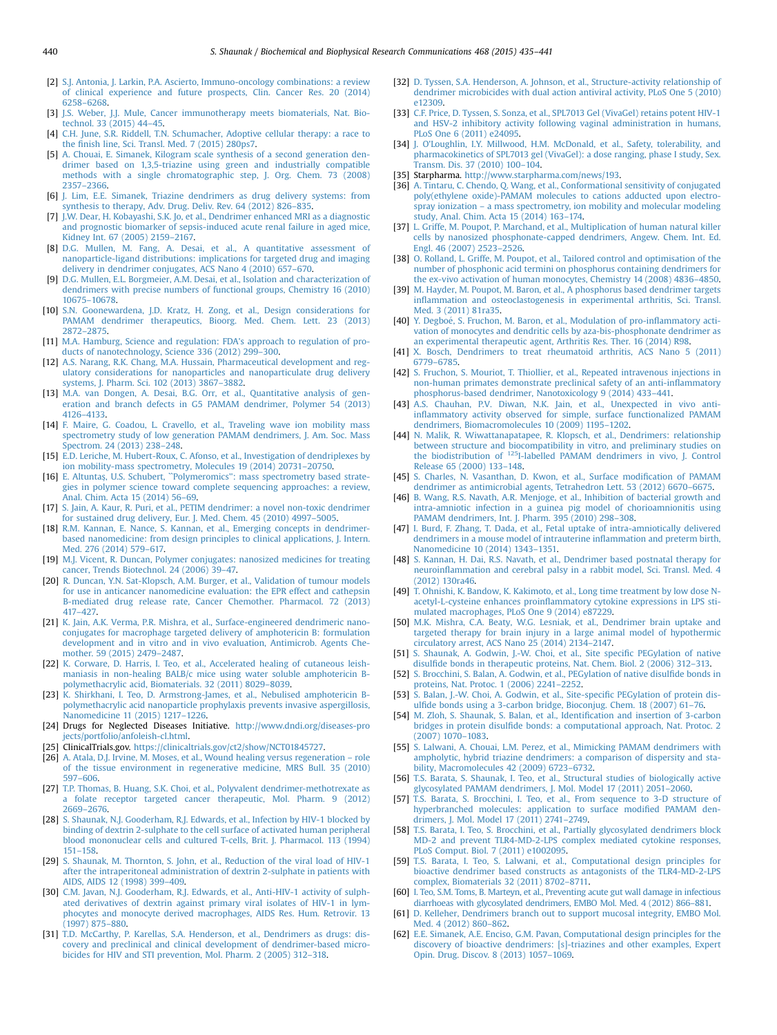- <span id="page-5-0"></span>[2] [S.J. Antonia, J. Larkin, P.A. Ascierto, Immuno-oncology combinations: a review](http://refhub.elsevier.com/S0006-291X(15)30264-3/sref2) [of clinical experience and future prospects, Clin. Cancer Res. 20 \(2014\)](http://refhub.elsevier.com/S0006-291X(15)30264-3/sref2) [6258](http://refhub.elsevier.com/S0006-291X(15)30264-3/sref2)–[6268.](http://refhub.elsevier.com/S0006-291X(15)30264-3/sref2)
- [3] [J.S. Weber, J.J. Mule, Cancer immunotherapy meets biomaterials, Nat. Bio](http://refhub.elsevier.com/S0006-291X(15)30264-3/sref3)[technol. 33 \(2015\) 44](http://refhub.elsevier.com/S0006-291X(15)30264-3/sref3)–45.
- [4] [C.H. June, S.R. Riddell, T.N. Schumacher, Adoptive cellular therapy: a race to](http://refhub.elsevier.com/S0006-291X(15)30264-3/sref4) the fi[nish line, Sci. Transl. Med. 7 \(2015\) 280ps7.](http://refhub.elsevier.com/S0006-291X(15)30264-3/sref4)
- [5] [A. Chouai, E. Simanek, Kilogram scale synthesis of a second generation den](http://refhub.elsevier.com/S0006-291X(15)30264-3/sref5)[drimer based on 1,3,5-triazine using green and industrially compatible](http://refhub.elsevier.com/S0006-291X(15)30264-3/sref5) [methods with a single chromatographic step, J. Org. Chem. 73 \(2008\)](http://refhub.elsevier.com/S0006-291X(15)30264-3/sref5) [2357](http://refhub.elsevier.com/S0006-291X(15)30264-3/sref5)–[2366.](http://refhub.elsevier.com/S0006-291X(15)30264-3/sref5)
- [6] [J. Lim, E.E. Simanek, Triazine dendrimers as drug delivery systems: from](http://refhub.elsevier.com/S0006-291X(15)30264-3/sref6) [synthesis to therapy, Adv. Drug. Deliv. Rev. 64 \(2012\) 826](http://refhub.elsevier.com/S0006-291X(15)30264-3/sref6)–835.
- [7] [J.W. Dear, H. Kobayashi, S.K. Jo, et al., Dendrimer enhanced MRI as a diagnostic](http://refhub.elsevier.com/S0006-291X(15)30264-3/sref7) [and prognostic biomarker of sepsis-induced acute renal failure in aged mice,](http://refhub.elsevier.com/S0006-291X(15)30264-3/sref7) [Kidney Int. 67 \(2005\) 2159](http://refhub.elsevier.com/S0006-291X(15)30264-3/sref7)–2167.
- [8] [D.G. Mullen, M. Fang, A. Desai, et al., A quantitative assessment of](http://refhub.elsevier.com/S0006-291X(15)30264-3/sref8) [nanoparticle-ligand distributions: implications for targeted drug and imaging](http://refhub.elsevier.com/S0006-291X(15)30264-3/sref8) [delivery in dendrimer conjugates, ACS Nano 4 \(2010\) 657](http://refhub.elsevier.com/S0006-291X(15)30264-3/sref8)–670.
- [9] [D.G. Mullen, E.L. Borgmeier, A.M. Desai, et al., Isolation and characterization of](http://refhub.elsevier.com/S0006-291X(15)30264-3/sref9) [dendrimers with precise numbers of functional groups, Chemistry 16 \(2010\)](http://refhub.elsevier.com/S0006-291X(15)30264-3/sref9) [10675](http://refhub.elsevier.com/S0006-291X(15)30264-3/sref9)–[10678.](http://refhub.elsevier.com/S0006-291X(15)30264-3/sref9)
- [10] [S.N. Goonewardena, J.D. Kratz, H. Zong, et al., Design considerations for](http://refhub.elsevier.com/S0006-291X(15)30264-3/sref10) [PAMAM dendrimer therapeutics, Bioorg. Med. Chem. Lett. 23 \(2013\)](http://refhub.elsevier.com/S0006-291X(15)30264-3/sref10) [2872](http://refhub.elsevier.com/S0006-291X(15)30264-3/sref10)–[2875.](http://refhub.elsevier.com/S0006-291X(15)30264-3/sref10)
- [11] [M.A. Hamburg, Science and regulation: FDA's approach to regulation of pro-](http://refhub.elsevier.com/S0006-291X(15)30264-3/sref11)
- [ducts of nanotechnology, Science 336 \(2012\) 299](http://refhub.elsevier.com/S0006-291X(15)30264-3/sref11)–300. [12] [A.S. Narang, R.K. Chang, M.A. Hussain, Pharmaceutical development and reg](http://refhub.elsevier.com/S0006-291X(15)30264-3/sref12)[ulatory considerations for nanoparticles and nanoparticulate drug delivery](http://refhub.elsevier.com/S0006-291X(15)30264-3/sref12)
- [systems, J. Pharm. Sci. 102 \(2013\) 3867](http://refhub.elsevier.com/S0006-291X(15)30264-3/sref12)–3882. [13] [M.A. van Dongen, A. Desai, B.G. Orr, et al., Quantitative analysis of gen](http://refhub.elsevier.com/S0006-291X(15)30264-3/sref13)[eration and branch defects in G5 PAMAM dendrimer, Polymer 54 \(2013\)](http://refhub.elsevier.com/S0006-291X(15)30264-3/sref13)
- [4126](http://refhub.elsevier.com/S0006-291X(15)30264-3/sref13)–[4133.](http://refhub.elsevier.com/S0006-291X(15)30264-3/sref13) [14] [F. Maire, G. Coadou, L. Cravello, et al., Traveling wave ion mobility mass](http://refhub.elsevier.com/S0006-291X(15)30264-3/sref14) [spectrometry study of low generation PAMAM dendrimers, J. Am. Soc. Mass](http://refhub.elsevier.com/S0006-291X(15)30264-3/sref14)
- [Spectrom. 24 \(2013\) 238](http://refhub.elsevier.com/S0006-291X(15)30264-3/sref14)–248. [15] [E.D. Leriche, M. Hubert-Roux, C. Afonso, et al., Investigation of dendriplexes by](http://refhub.elsevier.com/S0006-291X(15)30264-3/sref15) [ion mobility-mass spectrometry, Molecules 19 \(2014\) 20731](http://refhub.elsevier.com/S0006-291X(15)30264-3/sref15)–20750.
- [16] [E. Altunta](http://refhub.elsevier.com/S0006-291X(15)30264-3/sref16)s, U.S. Schubert, "Polymeromics": mass spectrometry based strate[gies in polymer science toward complete sequencing approaches: a review,](http://refhub.elsevier.com/S0006-291X(15)30264-3/sref16) [Anal. Chim. Acta 15 \(2014\) 56](http://refhub.elsevier.com/S0006-291X(15)30264-3/sref16)–69.
- [17] [S. Jain, A. Kaur, R. Puri, et al., PETIM dendrimer: a novel non-toxic dendrimer](http://refhub.elsevier.com/S0006-291X(15)30264-3/sref17)
- [for sustained drug delivery, Eur. J. Med. Chem. 45 \(2010\) 4997](http://refhub.elsevier.com/S0006-291X(15)30264-3/sref17)–5005. [18] [R.M. Kannan, E. Nance, S. Kannan, et al., Emerging concepts in dendrimer](http://refhub.elsevier.com/S0006-291X(15)30264-3/sref18)[based nanomedicine: from design principles to clinical applications, J. Intern.](http://refhub.elsevier.com/S0006-291X(15)30264-3/sref18) [Med. 276 \(2014\) 579](http://refhub.elsevier.com/S0006-291X(15)30264-3/sref18)–617.
- [19] [M.J. Vicent, R. Duncan, Polymer conjugates: nanosized medicines for treating](http://refhub.elsevier.com/S0006-291X(15)30264-3/sref19) [cancer, Trends Biotechnol. 24 \(2006\) 39](http://refhub.elsevier.com/S0006-291X(15)30264-3/sref19)–47.
- [20] [R. Duncan, Y.N. Sat-Klopsch, A.M. Burger, et al., Validation of tumour models](http://refhub.elsevier.com/S0006-291X(15)30264-3/sref20) [for use in anticancer nanomedicine evaluation: the EPR effect and cathepsin](http://refhub.elsevier.com/S0006-291X(15)30264-3/sref20) [B-mediated drug release rate, Cancer Chemother. Pharmacol. 72 \(2013\)](http://refhub.elsevier.com/S0006-291X(15)30264-3/sref20) [417](http://refhub.elsevier.com/S0006-291X(15)30264-3/sref20)–[427.](http://refhub.elsevier.com/S0006-291X(15)30264-3/sref20)
- [21] [K. Jain, A.K. Verma, P.R. Mishra, et al., Surface-engineered dendrimeric nano](http://refhub.elsevier.com/S0006-291X(15)30264-3/sref21)[conjugates for macrophage targeted delivery of amphotericin B: formulation](http://refhub.elsevier.com/S0006-291X(15)30264-3/sref21) [development and in vitro and in vivo evaluation, Antimicrob. Agents Che](http://refhub.elsevier.com/S0006-291X(15)30264-3/sref21)[mother. 59 \(2015\) 2479](http://refhub.elsevier.com/S0006-291X(15)30264-3/sref21)–2487.
- [22] [K. Corware, D. Harris, I. Teo, et al., Accelerated healing of cutaneous leish](http://refhub.elsevier.com/S0006-291X(15)30264-3/sref22)[maniasis in non-healing BALB/c mice using water soluble amphotericin B](http://refhub.elsevier.com/S0006-291X(15)30264-3/sref22)[polymethacrylic acid, Biomaterials. 32 \(2011\) 8029](http://refhub.elsevier.com/S0006-291X(15)30264-3/sref22)–8039.
- [23] [K. Shirkhani, I. Teo, D. Armstrong-James, et al., Nebulised amphotericin B](http://refhub.elsevier.com/S0006-291X(15)30264-3/sref23)[polymethacrylic acid nanoparticle prophylaxis prevents invasive aspergillosis,](http://refhub.elsevier.com/S0006-291X(15)30264-3/sref23) [Nanomedicine 11 \(2015\) 1217](http://refhub.elsevier.com/S0006-291X(15)30264-3/sref23)–1226.
- [24] Drugs for Neglected Diseases Initiative. [http://www.dndi.org/diseases-pro](http://www.dndi.org/diseases-projects/portfolio/anfoleish-cl.html) [jects/portfolio/anfoleish-cl.html](http://www.dndi.org/diseases-projects/portfolio/anfoleish-cl.html).
- [25] ClinicalTrials.gov. [https://clinicaltrials.gov/ct2/show/NCT01845727.](https://clinicaltrials.gov/ct2/show/NCT01845727)
- [26] [A. Atala, D.J. Irvine, M. Moses, et al., Wound healing versus regeneration](http://refhub.elsevier.com/S0006-291X(15)30264-3/sref26) role [of the tissue environment in regenerative medicine, MRS Bull. 35 \(2010\)](http://refhub.elsevier.com/S0006-291X(15)30264-3/sref26) [597](http://refhub.elsevier.com/S0006-291X(15)30264-3/sref26)–[606.](http://refhub.elsevier.com/S0006-291X(15)30264-3/sref26)
- [27] [T.P. Thomas, B. Huang, S.K. Choi, et al., Polyvalent dendrimer-methotrexate as](http://refhub.elsevier.com/S0006-291X(15)30264-3/sref27) [a folate receptor targeted cancer therapeutic, Mol. Pharm. 9 \(2012\)](http://refhub.elsevier.com/S0006-291X(15)30264-3/sref27) [2669](http://refhub.elsevier.com/S0006-291X(15)30264-3/sref27)–[2676.](http://refhub.elsevier.com/S0006-291X(15)30264-3/sref27)
- [28] [S. Shaunak, N.J. Gooderham, R.J. Edwards, et al., Infection by HIV-1 blocked by](http://refhub.elsevier.com/S0006-291X(15)30264-3/sref28) [binding of dextrin 2-sulphate to the cell surface of activated human peripheral](http://refhub.elsevier.com/S0006-291X(15)30264-3/sref28) [blood mononuclear cells and cultured T-cells, Brit. J. Pharmacol. 113 \(1994\)](http://refhub.elsevier.com/S0006-291X(15)30264-3/sref28) [151](http://refhub.elsevier.com/S0006-291X(15)30264-3/sref28)–[158.](http://refhub.elsevier.com/S0006-291X(15)30264-3/sref28)
- [29] [S. Shaunak, M. Thornton, S. John, et al., Reduction of the viral load of HIV-1](http://refhub.elsevier.com/S0006-291X(15)30264-3/sref29) [after the intraperitoneal administration of dextrin 2-sulphate in patients with](http://refhub.elsevier.com/S0006-291X(15)30264-3/sref29) [AIDS, AIDS 12 \(1998\) 399](http://refhub.elsevier.com/S0006-291X(15)30264-3/sref29)–409.
- [30] [C.M. Javan, N.J. Gooderham, R.J. Edwards, et al., Anti-HIV-1 activity of sulph](http://refhub.elsevier.com/S0006-291X(15)30264-3/sref30)[ated derivatives of dextrin against primary viral isolates of HIV-1 in lym](http://refhub.elsevier.com/S0006-291X(15)30264-3/sref30)[phocytes and monocyte derived macrophages, AIDS Res. Hum. Retrovir. 13](http://refhub.elsevier.com/S0006-291X(15)30264-3/sref30) [\(1997\) 875](http://refhub.elsevier.com/S0006-291X(15)30264-3/sref30)–880.
- [31] [T.D. McCarthy, P. Karellas, S.A. Henderson, et al., Dendrimers as drugs: dis](http://refhub.elsevier.com/S0006-291X(15)30264-3/sref31)[covery and preclinical and clinical development of dendrimer-based micro](http://refhub.elsevier.com/S0006-291X(15)30264-3/sref31)[bicides for HIV and STI prevention, Mol. Pharm. 2 \(2005\) 312](http://refhub.elsevier.com/S0006-291X(15)30264-3/sref31)–318.
- [32] [D. Tyssen, S.A. Henderson, A. Johnson, et al., Structure-activity relationship of](http://refhub.elsevier.com/S0006-291X(15)30264-3/sref32) [dendrimer microbicides with dual action antiviral activity, PLoS One 5 \(2010\)](http://refhub.elsevier.com/S0006-291X(15)30264-3/sref32) [e12309.](http://refhub.elsevier.com/S0006-291X(15)30264-3/sref32)
- [33] [C.F. Price, D. Tyssen, S. Sonza, et al., SPL7013 Gel \(VivaGel\) retains potent HIV-1](http://refhub.elsevier.com/S0006-291X(15)30264-3/sref33) [and HSV-2 inhibitory activity following vaginal administration in humans,](http://refhub.elsevier.com/S0006-291X(15)30264-3/sref33) [PLoS One 6 \(2011\) e24095.](http://refhub.elsevier.com/S0006-291X(15)30264-3/sref33)
- [34] [J. O'Loughlin, I.Y. Millwood, H.M. McDonald, et al., Safety, tolerability, and](http://refhub.elsevier.com/S0006-291X(15)30264-3/sref34) [pharmacokinetics of SPL7013 gel \(VivaGel\): a dose ranging, phase I study, Sex.](http://refhub.elsevier.com/S0006-291X(15)30264-3/sref34) [Transm. Dis. 37 \(2010\) 100](http://refhub.elsevier.com/S0006-291X(15)30264-3/sref34)–104.
- [35] Starpharma. [http://www.starpharma.com/news/193.](http://www.starpharma.com/news/193)
- [36] [A. Tintaru, C. Chendo, Q. Wang, et al., Conformational sensitivity of conjugated](http://refhub.elsevier.com/S0006-291X(15)30264-3/sref36) [poly\(ethylene oxide\)-PAMAM molecules to cations adducted upon electro](http://refhub.elsevier.com/S0006-291X(15)30264-3/sref36)spray ionization – [a mass spectrometry, ion mobility and molecular modeling](http://refhub.elsevier.com/S0006-291X(15)30264-3/sref36) [study, Anal. Chim. Acta 15 \(2014\) 163](http://refhub.elsevier.com/S0006-291X(15)30264-3/sref36)–174.
- [37] [L. Griffe, M. Poupot, P. Marchand, et al., Multiplication of human natural killer](http://refhub.elsevier.com/S0006-291X(15)30264-3/sref37) [cells by nanosized phosphonate-capped dendrimers, Angew. Chem. Int. Ed.](http://refhub.elsevier.com/S0006-291X(15)30264-3/sref37) [Engl. 46 \(2007\) 2523](http://refhub.elsevier.com/S0006-291X(15)30264-3/sref37)–2526.
- [38] [O. Rolland, L. Griffe, M. Poupot, et al., Tailored control and optimisation of the](http://refhub.elsevier.com/S0006-291X(15)30264-3/sref38) [number of phosphonic acid termini on phosphorus containing dendrimers for](http://refhub.elsevier.com/S0006-291X(15)30264-3/sref38) [the ex-vivo activation of human monocytes, Chemistry 14 \(2008\) 4836](http://refhub.elsevier.com/S0006-291X(15)30264-3/sref38)–4850.
- [39] [M. Hayder, M. Poupot, M. Baron, et al., A phosphorus based dendrimer targets](http://refhub.elsevier.com/S0006-291X(15)30264-3/sref39) infl[ammation and osteoclastogenesis in experimental arthritis, Sci. Transl.](http://refhub.elsevier.com/S0006-291X(15)30264-3/sref39) [Med. 3 \(2011\) 81ra35.](http://refhub.elsevier.com/S0006-291X(15)30264-3/sref39)
- [40] Y. Degboé[, S. Fruchon, M. Baron, et al., Modulation of pro-in](http://refhub.elsevier.com/S0006-291X(15)30264-3/sref40)flammatory acti[vation of monocytes and dendritic cells by aza-bis-phosphonate dendrimer as](http://refhub.elsevier.com/S0006-291X(15)30264-3/sref40) [an experimental therapeutic agent, Arthritis Res. Ther. 16 \(2014\) R98.](http://refhub.elsevier.com/S0006-291X(15)30264-3/sref40)
- [41] [X. Bosch, Dendrimers to treat rheumatoid arthritis, ACS Nano 5 \(2011\)](http://refhub.elsevier.com/S0006-291X(15)30264-3/sref41) [6779](http://refhub.elsevier.com/S0006-291X(15)30264-3/sref41)–[6785.](http://refhub.elsevier.com/S0006-291X(15)30264-3/sref41)
- [42] [S. Fruchon, S. Mouriot, T. Thiollier, et al., Repeated intravenous injections in](http://refhub.elsevier.com/S0006-291X(15)30264-3/sref42) [non-human primates demonstrate preclinical safety of an anti-in](http://refhub.elsevier.com/S0006-291X(15)30264-3/sref42)flammatory [phosphorus-based dendrimer, Nanotoxicology 9 \(2014\) 433](http://refhub.elsevier.com/S0006-291X(15)30264-3/sref42)–441.
- [43] [A.S. Chauhan, P.V. Diwan, N.K. Jain, et al., Unexpected in vivo anti](http://refhub.elsevier.com/S0006-291X(15)30264-3/sref43)infl[ammatory activity observed for simple, surface functionalized PAMAM](http://refhub.elsevier.com/S0006-291X(15)30264-3/sref43) [dendrimers, Biomacromolecules 10 \(2009\) 1195](http://refhub.elsevier.com/S0006-291X(15)30264-3/sref43)–1202.
- [44] [N. Malik, R. Wiwattanapatapee, R. Klopsch, et al., Dendrimers: relationship](http://refhub.elsevier.com/S0006-291X(15)30264-3/sref44) [between structure and biocompatibility in vitro, and preliminary studies on](http://refhub.elsevier.com/S0006-291X(15)30264-3/sref44) [the biodistribution of](http://refhub.elsevier.com/S0006-291X(15)30264-3/sref44) [125I-labelled PAMAM dendrimers in vivo, J. Control](http://refhub.elsevier.com/S0006-291X(15)30264-3/sref44) [Release 65 \(2000\) 133](http://refhub.elsevier.com/S0006-291X(15)30264-3/sref44)–148.
- [45] [S. Charles, N. Vasanthan, D. Kwon, et al., Surface modi](http://refhub.elsevier.com/S0006-291X(15)30264-3/sref45)fication of PAMAM [dendrimer as antimicrobial agents, Tetrahedron Lett. 53 \(2012\) 6670](http://refhub.elsevier.com/S0006-291X(15)30264-3/sref45)–6675.
- [46] [B. Wang, R.S. Navath, A.R. Menjoge, et al., Inhibition of bacterial growth and](http://refhub.elsevier.com/S0006-291X(15)30264-3/sref46) [intra-amniotic infection in a guinea pig model of chorioamnionitis using](http://refhub.elsevier.com/S0006-291X(15)30264-3/sref46) [PAMAM dendrimers, Int. J. Pharm. 395 \(2010\) 298](http://refhub.elsevier.com/S0006-291X(15)30264-3/sref46)–308.
- [47] [I. Burd, F. Zhang, T. Dada, et al., Fetal uptake of intra-amniotically delivered](http://refhub.elsevier.com/S0006-291X(15)30264-3/sref47) [dendrimers in a mouse model of intrauterine in](http://refhub.elsevier.com/S0006-291X(15)30264-3/sref47)flammation and preterm birth, [Nanomedicine 10 \(2014\) 1343](http://refhub.elsevier.com/S0006-291X(15)30264-3/sref47)–1351.
- [48] [S. Kannan, H. Dai, R.S. Navath, et al., Dendrimer based postnatal therapy for](http://refhub.elsevier.com/S0006-291X(15)30264-3/sref48) neuroinfl[ammation and cerebral palsy in a rabbit model, Sci. Transl. Med. 4](http://refhub.elsevier.com/S0006-291X(15)30264-3/sref48) [\(2012\) 130ra46.](http://refhub.elsevier.com/S0006-291X(15)30264-3/sref48)
- [49] [T. Ohnishi, K. Bandow, K. Kakimoto, et al., Long time treatment by low dose N](http://refhub.elsevier.com/S0006-291X(15)30264-3/sref49)acetyl-L-cysteine enhances proinfl[ammatory cytokine expressions in LPS sti](http://refhub.elsevier.com/S0006-291X(15)30264-3/sref49)[mulated macrophages, PLoS One 9 \(2014\) e87229.](http://refhub.elsevier.com/S0006-291X(15)30264-3/sref49)
- [50] [M.K. Mishra, C.A. Beaty, W.G. Lesniak, et al., Dendrimer brain uptake and](http://refhub.elsevier.com/S0006-291X(15)30264-3/sref50) [targeted therapy for brain injury in a large animal model of hypothermic](http://refhub.elsevier.com/S0006-291X(15)30264-3/sref50) [circulatory arrest, ACS Nano 25 \(2014\) 2134](http://refhub.elsevier.com/S0006-291X(15)30264-3/sref50)–2147.
- [51] [S. Shaunak, A. Godwin, J.-W. Choi, et al., Site speci](http://refhub.elsevier.com/S0006-291X(15)30264-3/sref51)fic PEGylation of native disulfi[de bonds in therapeutic proteins, Nat. Chem. Biol. 2 \(2006\) 312](http://refhub.elsevier.com/S0006-291X(15)30264-3/sref51)–313.
- [52] [S. Brocchini, S. Balan, A. Godwin, et al., PEGylation of native disul](http://refhub.elsevier.com/S0006-291X(15)30264-3/sref52)fide bonds in [proteins, Nat. Protoc. 1 \(2006\) 2241](http://refhub.elsevier.com/S0006-291X(15)30264-3/sref52)–2252.
- [53] [S. Balan, J.-W. Choi, A. Godwin, et al., Site-speci](http://refhub.elsevier.com/S0006-291X(15)30264-3/sref53)fic PEGylation of protein disulfi[de bonds using a 3-carbon bridge, Bioconjug. Chem. 18 \(2007\) 61](http://refhub.elsevier.com/S0006-291X(15)30264-3/sref53)–76.
- [54] [M. Zloh, S. Shaunak, S. Balan, et al., Identi](http://refhub.elsevier.com/S0006-291X(15)30264-3/sref54)fication and insertion of 3-carbon bridges in protein disulfi[de bonds: a computational approach, Nat. Protoc. 2](http://refhub.elsevier.com/S0006-291X(15)30264-3/sref54) [\(2007\) 1070](http://refhub.elsevier.com/S0006-291X(15)30264-3/sref54)–1083.
- [55] [S. Lalwani, A. Chouai, L.M. Perez, et al., Mimicking PAMAM dendrimers with](http://refhub.elsevier.com/S0006-291X(15)30264-3/sref55) [ampholytic, hybrid triazine dendrimers: a comparison of dispersity and sta](http://refhub.elsevier.com/S0006-291X(15)30264-3/sref55)[bility, Macromolecules 42 \(2009\) 6723](http://refhub.elsevier.com/S0006-291X(15)30264-3/sref55)–6732.
- [56] [T.S. Barata, S. Shaunak, I. Teo, et al., Structural studies of biologically active](http://refhub.elsevier.com/S0006-291X(15)30264-3/sref56) [glycosylated PAMAM dendrimers, J. Mol. Model 17 \(2011\) 2051](http://refhub.elsevier.com/S0006-291X(15)30264-3/sref56)–2060.
- [57] [T.S. Barata, S. Brocchini, I. Teo, et al., From sequence to 3-D structure of](http://refhub.elsevier.com/S0006-291X(15)30264-3/sref57) [hyperbranched molecules: application to surface modi](http://refhub.elsevier.com/S0006-291X(15)30264-3/sref57)fied PAMAM den[drimers, J. Mol. Model 17 \(2011\) 2741](http://refhub.elsevier.com/S0006-291X(15)30264-3/sref57)–2749.
- [58] [T.S. Barata, I. Teo, S. Brocchini, et al., Partially glycosylated dendrimers block](http://refhub.elsevier.com/S0006-291X(15)30264-3/sref58) [MD-2 and prevent TLR4-MD-2-LPS complex mediated cytokine responses,](http://refhub.elsevier.com/S0006-291X(15)30264-3/sref58) [PLoS Comput. Biol. 7 \(2011\) e1002095.](http://refhub.elsevier.com/S0006-291X(15)30264-3/sref58)
- [59] [T.S. Barata, I. Teo, S. Lalwani, et al., Computational design principles for](http://refhub.elsevier.com/S0006-291X(15)30264-3/sref59) [bioactive dendrimer based constructs as antagonists of the TLR4-MD-2-LPS](http://refhub.elsevier.com/S0006-291X(15)30264-3/sref59) [complex, Biomaterials 32 \(2011\) 8702](http://refhub.elsevier.com/S0006-291X(15)30264-3/sref59)–8711.
- [60] [I. Teo, S.M. Toms, B. Marteyn, et al., Preventing acute gut wall damage in infectious](http://refhub.elsevier.com/S0006-291X(15)30264-3/sref60) [diarrhoeas with glycosylated dendrimers, EMBO Mol. Med. 4 \(2012\) 866](http://refhub.elsevier.com/S0006-291X(15)30264-3/sref60)–881.
- [61] [D. Kelleher, Dendrimers branch out to support mucosal integrity, EMBO Mol.](http://refhub.elsevier.com/S0006-291X(15)30264-3/sref61) [Med. 4 \(2012\) 860](http://refhub.elsevier.com/S0006-291X(15)30264-3/sref61)–862.
- [62] [E.E. Simanek, A.E. Enciso, G.M. Pavan, Computational design principles for the](http://refhub.elsevier.com/S0006-291X(15)30264-3/sref62) [discovery of bioactive dendrimers: \[s\]-triazines and other examples, Expert](http://refhub.elsevier.com/S0006-291X(15)30264-3/sref62) [Opin. Drug. Discov. 8 \(2013\) 1057](http://refhub.elsevier.com/S0006-291X(15)30264-3/sref62)–1069.